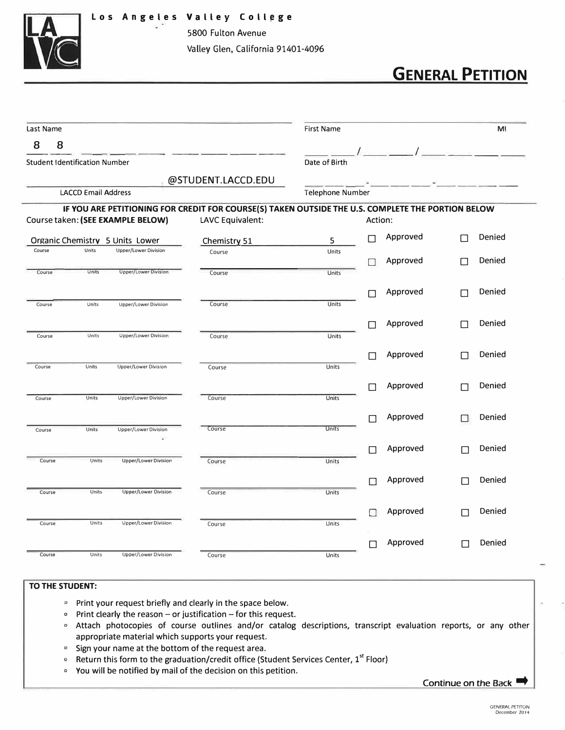

5800 Fulton Avenue Valley Glen, California 91401-4096

## **GENERAL PETITION**

| Last Name |                                      |                                   | First Name                                                                                        |              |              |          | MI     |        |
|-----------|--------------------------------------|-----------------------------------|---------------------------------------------------------------------------------------------------|--------------|--------------|----------|--------|--------|
| 8<br>8    |                                      |                                   |                                                                                                   |              |              |          |        |        |
|           | <b>Student Identification Number</b> |                                   | Date of Birth                                                                                     |              |              |          |        |        |
|           |                                      |                                   | @STUDENT.LACCD.EDU                                                                                |              |              |          |        |        |
|           | <b>LACCD Email Address</b>           |                                   | Telephone Number                                                                                  |              |              |          |        |        |
|           |                                      |                                   | IF YOU ARE PETITIONING FOR CREDIT FOR COURSE(S) TAKEN OUTSIDE THE U.S. COMPLETE THE PORTION BELOW |              |              |          |        |        |
|           |                                      | Course taken: (SEE EXAMPLE BELOW) | LAVC Equivalent:                                                                                  |              | Action:      |          |        |        |
|           |                                      | Organic Chemistry 5 Units Lower   | Chemistry 51                                                                                      | 5            | П            | Approved | П      | Denied |
| Course    | Units                                | <b>Upper/Lower Division</b>       | Course                                                                                            | Units        |              | Approved | П      | Denied |
| Course    | Units                                | <b>Upper/Lower Division</b>       | Course                                                                                            | Units        | П            |          |        |        |
|           |                                      |                                   |                                                                                                   |              |              |          |        | Denied |
| Course    | Units                                | Upper/Lower Division              | Course                                                                                            | Units        | $\Box$       | Approved | П      |        |
|           |                                      |                                   |                                                                                                   |              |              |          |        |        |
| Course    | Units                                | Upper/Lower Division              | Course                                                                                            | Units        | П            | Approved |        | Denied |
|           |                                      |                                   |                                                                                                   |              |              |          |        |        |
| Course    | Units                                | <b>Upper/Lower Division</b>       | Course                                                                                            | Units        | $\mathbf{L}$ | Approved | П      | Denied |
|           |                                      |                                   |                                                                                                   |              |              |          |        |        |
| Course    | Units                                | Upper/Lower Division              | Course                                                                                            | Units        | $\Box$       | Approved | L      | Denied |
|           |                                      |                                   |                                                                                                   |              |              |          |        |        |
|           |                                      |                                   | Course                                                                                            | <b>Units</b> |              | Approved |        | Denied |
| Course    | Units                                | Upper/Lower Division<br>s.        |                                                                                                   |              |              |          |        |        |
|           |                                      |                                   |                                                                                                   |              | П            | Approved | Г      | Denied |
| Course    | Units                                | Upper/Lower Division              | Course                                                                                            | Units        |              |          |        |        |
|           |                                      |                                   |                                                                                                   |              | П            | Approved | П      | Denied |
| Course    | Units                                | <b>Upper/Lower Division</b>       | Course                                                                                            | Units        |              |          |        |        |
|           |                                      |                                   |                                                                                                   |              |              | Approved | П      | Denied |
| Course    | Units                                | Upper/Lower Division              | Course                                                                                            | Units        |              |          |        |        |
|           |                                      |                                   |                                                                                                   |              | П            | Approved | $\Box$ | Denied |
| Course    | Units                                | <b>Upper/Lower Division</b>       | Course                                                                                            | Units        |              |          |        |        |

## **TO THE STUDENT:**

- **P** Print your request briefly and clearly in the space below.
- $\degree$  Print clearly the reason or justification for this request.
- <sup>o</sup> Attach photocopies of course outlines and/or catalog descriptions, transcript evaluation reports, or any other appropriate material which supports your request.
- $\blacksquare$  Sign your name at the bottom of the request area.
- **E** Return this form to the graduation/credit office (Student Services Center, 1<sup>st</sup> Floor)
- <sup>0</sup>You will be notified by mail of the decision on this petition.

Continue on the Back •